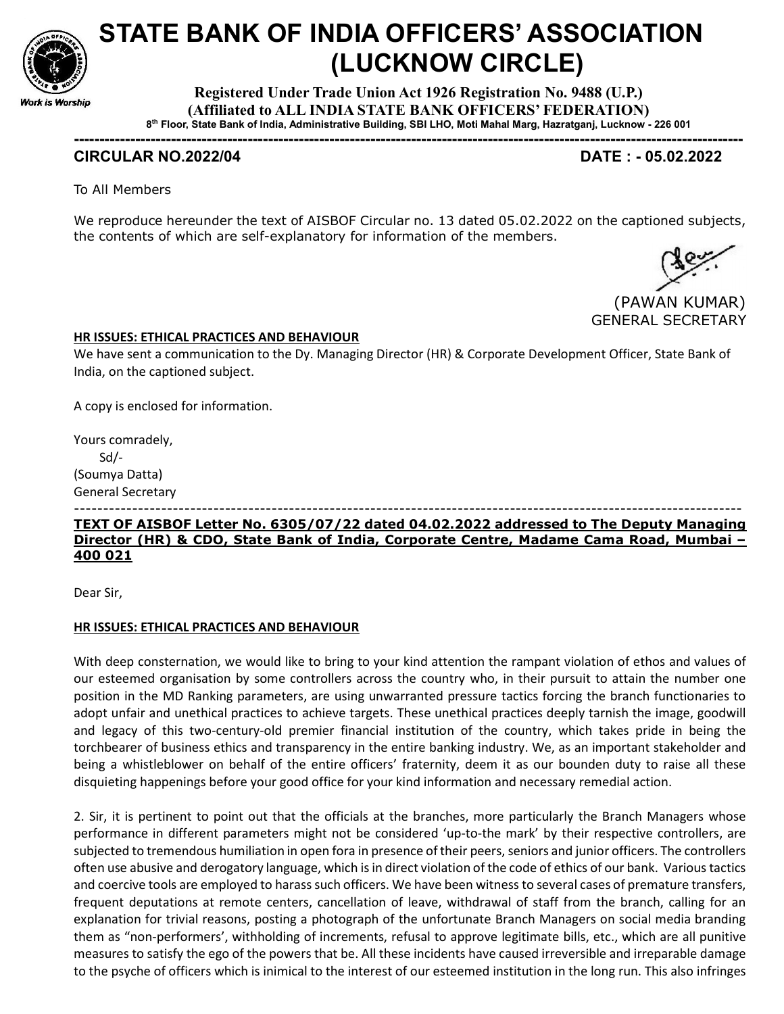

# STATE BANK OF INDIA OFFICERS' ASSOCIATION (LUCKNOW CIRCLE)

Registered Under Trade Union Act 1926 Registration No. 9488 (U.P.) (Affiliated to ALL INDIA STATE BANK OFFICERS' FEDERATION) 8 th Floor, State Bank of India, Administrative Building, SBI LHO, Moti Mahal Marg, Hazratganj, Lucknow - 226 001

-----------------------------------------------------------------------------------------------------------------------------------

# CIRCULAR NO.2022/04 DATE : - 05.02.2022

To All Members

We reproduce hereunder the text of AISBOF Circular no. 13 dated 05.02.2022 on the captioned subjects, the contents of which are self-explanatory for information of the members.



### HR ISSUES: ETHICAL PRACTICES AND BEHAVIOUR

We have sent a communication to the Dy. Managing Director (HR) & Corporate Development Officer, State Bank of India, on the captioned subject.

A copy is enclosed for information.

Yours comradely, Sd/- (Soumya Datta) General Secretary

#### ------------------------------------------------------------------------------------------------------------------- TEXT OF AISBOF Letter No. 6305/07/22 dated 04.02.2022 addressed to The Deputy Managing Director (HR) & CDO, State Bank of India, Corporate Centre, Madame Cama Road, Mumbai – 400 021

Dear Sir,

#### HR ISSUES: ETHICAL PRACTICES AND BEHAVIOUR

With deep consternation, we would like to bring to your kind attention the rampant violation of ethos and values of our esteemed organisation by some controllers across the country who, in their pursuit to attain the number one position in the MD Ranking parameters, are using unwarranted pressure tactics forcing the branch functionaries to adopt unfair and unethical practices to achieve targets. These unethical practices deeply tarnish the image, goodwill and legacy of this two-century-old premier financial institution of the country, which takes pride in being the torchbearer of business ethics and transparency in the entire banking industry. We, as an important stakeholder and being a whistleblower on behalf of the entire officers' fraternity, deem it as our bounden duty to raise all these disquieting happenings before your good office for your kind information and necessary remedial action.

2. Sir, it is pertinent to point out that the officials at the branches, more particularly the Branch Managers whose performance in different parameters might not be considered 'up-to-the mark' by their respective controllers, are subjected to tremendous humiliation in open fora in presence of their peers, seniors and junior officers. The controllers often use abusive and derogatory language, which is in direct violation of the code of ethics of our bank. Various tactics and coercive tools are employed to harass such officers. We have been witness to several cases of premature transfers, frequent deputations at remote centers, cancellation of leave, withdrawal of staff from the branch, calling for an explanation for trivial reasons, posting a photograph of the unfortunate Branch Managers on social media branding them as "non-performers', withholding of increments, refusal to approve legitimate bills, etc., which are all punitive measures to satisfy the ego of the powers that be. All these incidents have caused irreversible and irreparable damage to the psyche of officers which is inimical to the interest of our esteemed institution in the long run. This also infringes